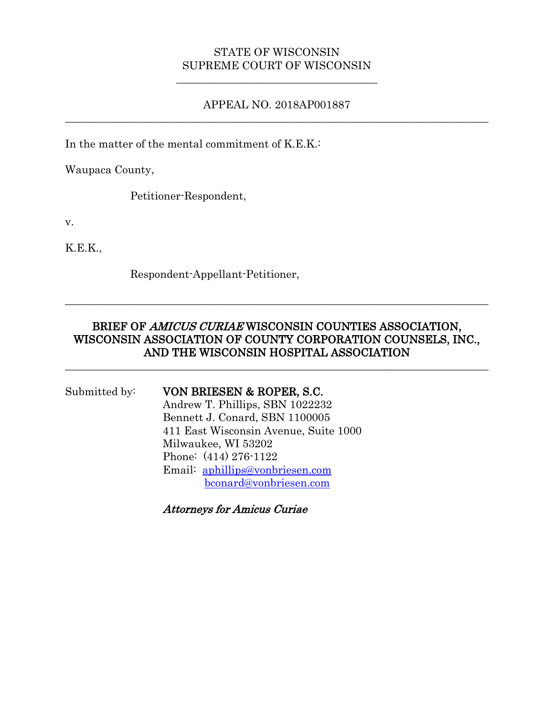#### STATE OF WISCONSIN STATE OF WISCONSIN SUPREME COURT OF WISCONSIN SUPREME COURT OF WISCONSIN

\_\_\_\_\_\_\_\_\_\_\_\_\_\_\_\_\_\_\_\_\_\_\_\_\_\_\_\_\_\_\_\_\_\_\_\_\_

#### APPEAL NO. 2018AP001887 APPEAL NO. 2018AP001887  $\_$  , and the set of the set of the set of the set of the set of the set of the set of the set of the set of the set of the set of the set of the set of the set of the set of the set of the set of the set of the set of th

In the matter of the mental commitment of K.E.K.: In the matter of the mental commitment of K.E.K.:

Waupaca County, Waupaca County,

Petitioner-Respondent, Petitioner-Respondent,

v. v.

K.E.K., K.E.K.,

Respondent-Appellant-Petitioner, Respondent-Appellant-Petitioner,

# BRIEF OF AMICUS CURIAE WISCONSIN COUNTIES ASSOCIATION, WISCONSIN ASSOCIATION OF COUNTY CORPORATION COUNSELS, INC.,<br>AND THE WISCONSIN HOSPITAL ASSOCIATION AND THE WISCONSIN HOSPITAL ASSOCIATION

 $\_$  , and the set of the set of the set of the set of the set of the set of the set of the set of the set of the set of the set of the set of the set of the set of the set of the set of the set of the set of the set of th

#### Submitted by: VON BRIESEN & ROPER, S.C.

Andrew T. Phillips, SBN 1022232 Andrew T. Phillips, SBN 1022232 Bennett J. Conard, SBN 1100005 Bennett J. Conard, SBN 1100005 411 East Wisconsin Avenue, Suite 1000 411 East Wisconsin Avenue, Suite 1000 Milwaukee, WI 53202 Milwaukee, WI 53202 Phone: (414) 276-1122 Phone: (414) 276-1122 Email: aphillips@vonbriesen.com Email: aphillips@vonbriesen.com bconard@vonbriesen.com bconard@vonbriesen.com

Attorneys for Amicus Curiae Attorneys for Amicus Curiae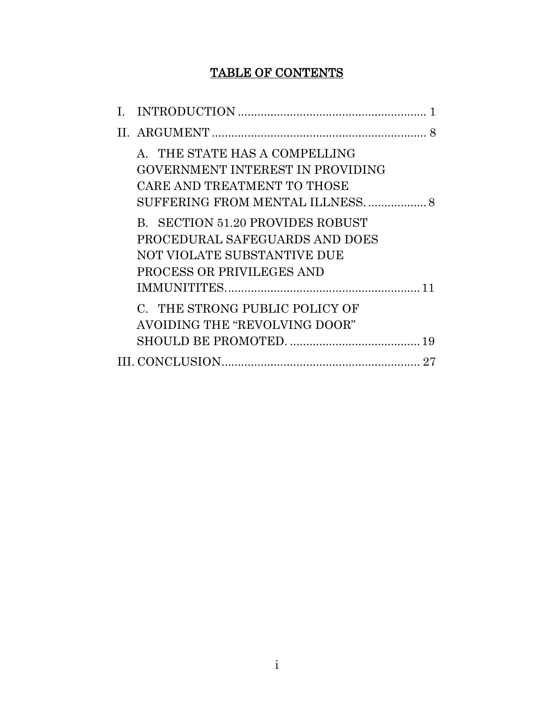# TABLE OF CONTENTS TABLE OF CONTENTS

| 8                                                                                                                                                                                                         |
|-----------------------------------------------------------------------------------------------------------------------------------------------------------------------------------------------------------|
| A. THE STATE HAS A COMPELLING<br>GOVERNMENT INTEREST IN PROVIDING<br>CARE AND TREATMENT TO THOSE<br>SUFFERING FROM MENTAL ILLNESS 8<br>B. SECTION 51.20 PROVIDES ROBUST<br>PROCEDURAL SAFEGUARDS AND DOES |
| NOT VIOLATE SUBSTANTIVE DUE<br>PROCESS OR PRIVILEGES AND<br>C. THE STRONG PUBLIC POLICY OF<br>AVOIDING THE "REVOLVING DOOR"                                                                               |
|                                                                                                                                                                                                           |
|                                                                                                                                                                                                           |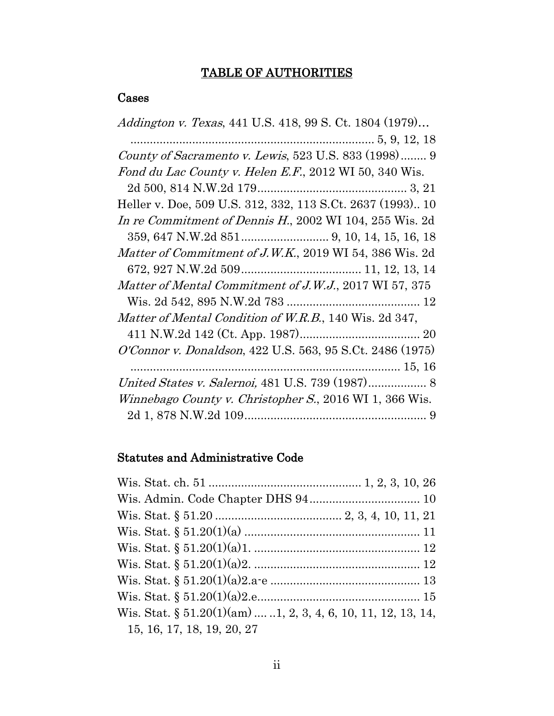#### TABLE OF AUTHORITIES TABLE OF AUTHORITIES

## Cases Cases

Addington v. Texas, 441 U.S. 418, 99 S. Ct. 1804 (1979)... Addington v. Texas, 441 U.S. 418, 99 S. Ct. 1804 (1979)… 5, 9, 12, 18 ........................................................................... 5, 9, 12, 18 County of Sacramento v. Lewis,  $523$  U.S.  $833$  (1998)........ 9 Fond du Lac County v. Helen E.F., 2012 WI 50, 340 Wis Fond du Lac County v. Helen E.F., 2012 WI 50, 340 Wis. 2d 500, 814 N.W.2d 179 3, 21 2d 500, 814 N.W.2d 179.............................................. 3, 21 Heller v. Doe, 509 U.S. 312, 332, 113 S.Ct. 2637 (1993).. 10 Heller v. Doe, 509 U.S. 312, 332, 113 S.Ct. 2637 (1993).. 10 In re Commitment of Dennis H., 2002 WI 104, 255 Wis. 2d In re Commitment of Dennis H., 2002 WI 104, 255 Wis. 2d 359, 647 N.W.2d 851 9, 10, 14, 15, 16, 18 359, 647 N.W.2d 851........................... 9, 10, 14, 15, 16, 18 Matter of Commitment of J. WK, 2019 WI 54, 386 Wis. 2d Matter of Commitment of J.W.K., 2019 WI 54, 386 Wis. 2d 672, 927 N.W.2d 509..................................... 11, 12, 13, 14 672, 927 N.W.2d 509 11, 12, 13, 14 Matter of Mental Commitment of J.W.J., 2017 WI 57, 375 Matter of Mental Commitment of J.W.J., 2017 WI 57, 375 Wis. 2d 542, 895 N.W.2d 783 ......................................... <sup>12</sup> Wis. 2d 542, 895 N.W.2d 783 12 Matter of Mental Condition of W.R.B., 140 Wis. 2d 347, 411 N.W.2d 142 (Ct. App. 1987) 20 Matter of Mental Condition of W.R.B., 140 Wis. 2d 347, 411 N.W.2d 142 (Ct. App. 1987)..................................... <sup>20</sup> O'Connor v. Donaldson, 422 U.S. 563, 95 S.Ct. 2486 (1975) O'Connor v. Donaldson, 422 U.S. 563, 95 S.Ct. 2486 (1975) 15, 16 ................................................................................... 15, 16 United States v. Salernoi, 481 U.S. 739 (1987)..................... 8 Winnebago County v. Christopher S., 2016 WI 1, 366 Wis. 2d 1, 878 N.W.2d 109 9 Winnebago County v. Christopher S., 2016 WI 1, 366 Wis. 2d 1, 878 N.W.2d 109........................................................ <sup>9</sup>

# Statutes and Administrative Code Statutes and Administrative Code

| Wis. Stat. § $51.20(1)(am)$ .1, 2, 3, 4, 6, 10, 11, 12, 13, 14, |  |  |  |
|-----------------------------------------------------------------|--|--|--|
| 15, 16, 17, 18, 19, 20, 27                                      |  |  |  |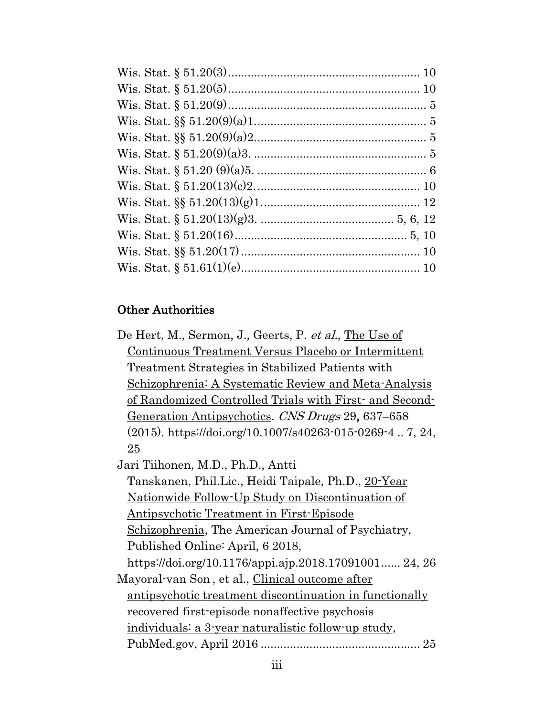## Other Authorities Other Authorities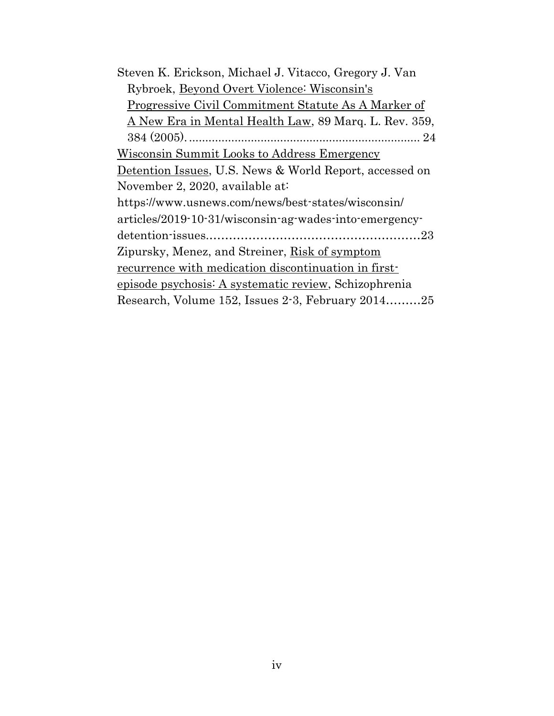| Steven K. Erickson, Michael J. Vitacco, Gregory J. Van        |  |  |
|---------------------------------------------------------------|--|--|
| Rybroek, Beyond Overt Violence: Wisconsin's                   |  |  |
| Progressive Civil Commitment Statute As A Marker of           |  |  |
| <u>A New Era in Mental Health Law</u> , 89 Marq. L. Rev. 359, |  |  |
|                                                               |  |  |
| <u>Wisconsin Summit Looks to Address Emergency</u>            |  |  |
| Detention Issues, U.S. News & World Report, accessed on       |  |  |
| November 2, 2020, available at:                               |  |  |
| https://www.usnews.com/news/best-states/wisconsin/            |  |  |
| articles/2019-10-31/wisconsin-ag-wades-into-emergency-        |  |  |
|                                                               |  |  |
| Zipursky, Menez, and Streiner, Risk of symptom                |  |  |
| recurrence with medication discontinuation in first-          |  |  |
| episode psychosis: A systematic review, Schizophrenia         |  |  |
| Research, Volume 152, Issues 2-3, February 201425             |  |  |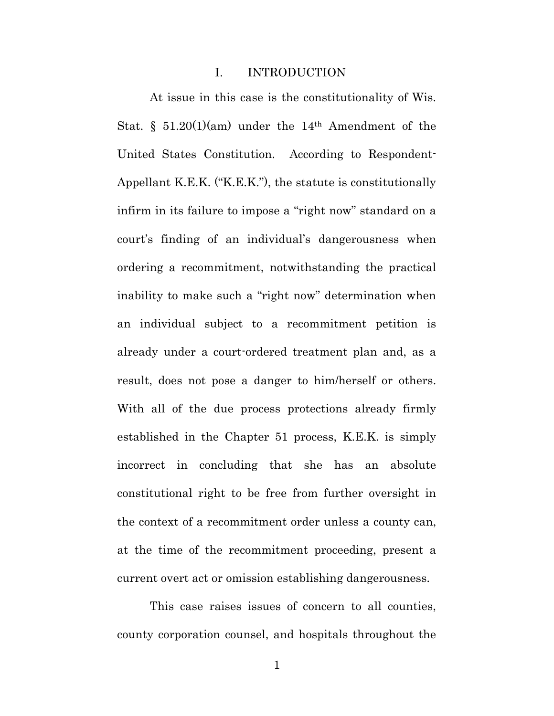### I. INTRODUCTION I. INTRODUCTION

At issue in this case is the constitutionality of Wis. At issue in this case is the constitutionality of Wis. Stat. § 51.20(1)(am) under the 14<sup>th</sup> Amendment of the<br>United States Constitution. According to Respondent-United States Constitution. According to Respondent-Appellant K.E.K. ("K.E.K."), the statute is constitutionally Appellant K.E.K. ("K.E.K."), the statute is constitutionally infirm in its failure to impose a "right now" standard on a infirm in its failure to impose a "right now" standard on a court's finding of an individual's dangerousness when court's finding of an individual's dangerousness when ordering a recommitment, notwithstanding the practical ordering a recommitment, notwithstanding the practical inability to make such a "right now" determination when inability to make such a "right now" determination when an individual subject to a recommitment petition is<br>already under a court-ordered treatment plan and, as a already under a court-ordered treatment plan and, as a result, does not pose a danger to him/herself or others. With all of the due process protections already firmly established in the Chapter 51 process, K.E.K. is simply incorrect in concluding that she has an absolute constitutional right to be free from further oversight in the context of a recommitment order unless a county can, the context of a recommitment order unless a county can, at the time of the recommitment proceeding, present a at the time of the recommitment proceeding, present a current overt act or omission establishing dangerousness.<br>This case raises issues of concern to all counties, result, does not pose a danger to him/herself or others.<br>With all of the due process protections already firmly<br>established in the Chapter 51 process, K.E.K. is simply<br>incorrect in concluding that she has an absolute<br>const

This case raises issues of concern to all counties, county corporation counsel, and hospitals throughout the county corporation counsel, and hospitals throughout the

1 1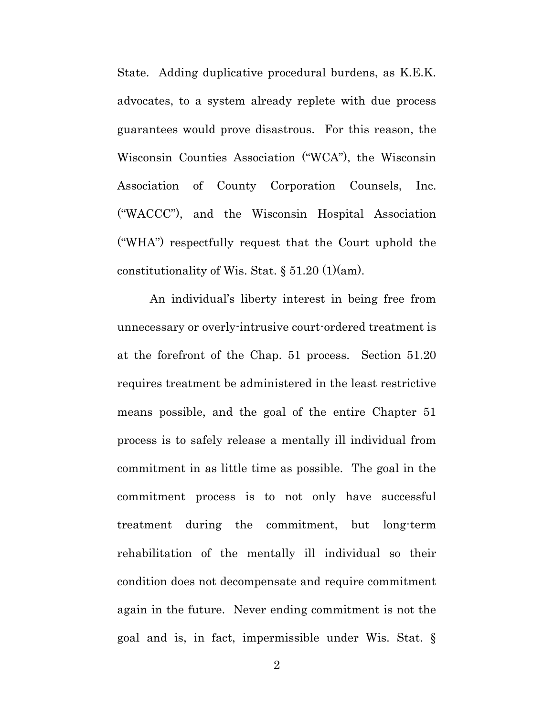State. Adding duplicative procedural burdens, as K.E.K. State. Adding duplicative procedural burdens, as K.E.K. advocates, to a system already replete with due process guarantees would prove disastrous. For this reason, the advocates, to a system already replete with due process guarantees would prove disastrous. For this reason, the Wisconsin Counties Association ("WCA"), the Wisconsin Wisconsin Counties Association ("WCA"), the Wisconsin Association of County Corporation Counsels, Inc. Association of County Corporation Counsels, Inc. ("WACCC"), and the Wisconsin Hospital Association ("WACCC"), and the Wisconsin Hospital Association ("WHA") respectfully request that the Court uphold the ("WHA") respectfully request that the Court uphold the constitutionality of Wis. Stat. § 51.20 (1)(am). constitutionality of Wis. Stat. § 51.20 (1)(am).

An individual's liberty interest in being free from An individual's liberty interest in being free from unnecessary or overly-intrusive court-ordered treatment is<br>at the forefront of the Chap. 51 process. Section 51.20 at the forefront of the Chap. 51 process. Section 51.20 requires treatment be administered in the least restrictive means possible, and the goal of the entire Chapter 51 process is to safely release a mentally ill individual from commitment in as little time as possible. The goal in the commitment process is to not only have successful treatment during the commitment, but long-term rehabilitation of the mentally ill individual so their condition does not decompensate and require commitment again in the future. Never ending commitment is not the goal and is, in fact, impermissible under Wis. Stat. § goal and is, in fact, impermissible under Wis. Stat. § requires treatment be administered in the least restrictive means possible, and the goal of the entire Chapter 51 process is to safely release a mentally ill individual from commitment in as little time as possible. The goal in the<br>commitment process is to not only have successful<br>treatment during the commitment, but long-term<br>rehabilitation of the mentally ill individual so their<br>condition do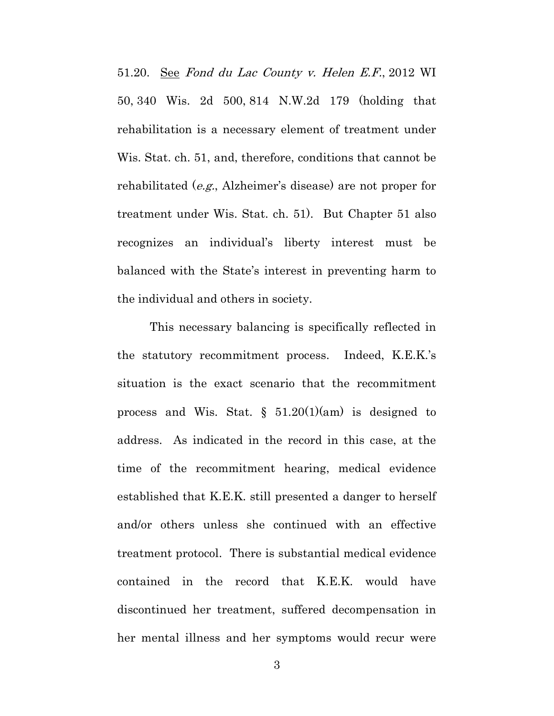51.20. <u>See</u> *Fond du Lac County v. Helen E.F.*, 2012 WI<br>50, 340 Wis. 2d 500, 814 N.W.2d 179 (holding that 50, 340 Wis. 2d 500, 814 N.W.2d 179 (holding that rehabilitation is a necessary element of treatment under Wis. Stat. ch. 51, and, therefore, conditions that cannot be Wis. Stat. ch. 51, and, therefore, conditions that cannot be rehabilitated ( $e.g.,$  Alzheimer's disease) are not proper for treatment under Wis. Stat. ch. 51). But Chapter 51 also treatment under Wis. Stat. ch. 51). But Chapter 51 also recognizes an individual's liberty interest must be recognizes an individual's liberty interest must be balanced with the State's interest in preventing harm to balanced with the State's interest in preventing harm to the individual and others in society. the individual and others in society.

This necessary balancing is specifically reflected in This necessary balancing is specifically reflected in the statutory recommitment process. Indeed, K.E.K.'s situation is the exact scenario that the recommitment process and Wis. Stat. § 51.20(1)(am) is designed to address. As indicated in the record in this case, at the address. As indicated in the record in this case, at the time of the recommitment hearing, medical evidence established that K.E.K. still presented a danger to herself and/or others unless she continued with an effective time of the recommitment hearing, medical evidence<br>established that K.E.K. still presented a danger to herself<br>and/or others unless she continued with an effective<br>treatment protocol. There is substantial medical evidence contained in the record that K.E.K. would have contained in the record that K.E.K. would have discontinued her treatment, suffered decompensation in discontinued her treatment, suffered decompensation in her mental illness and her symptoms would recur were her mental illness and her symptoms would recur were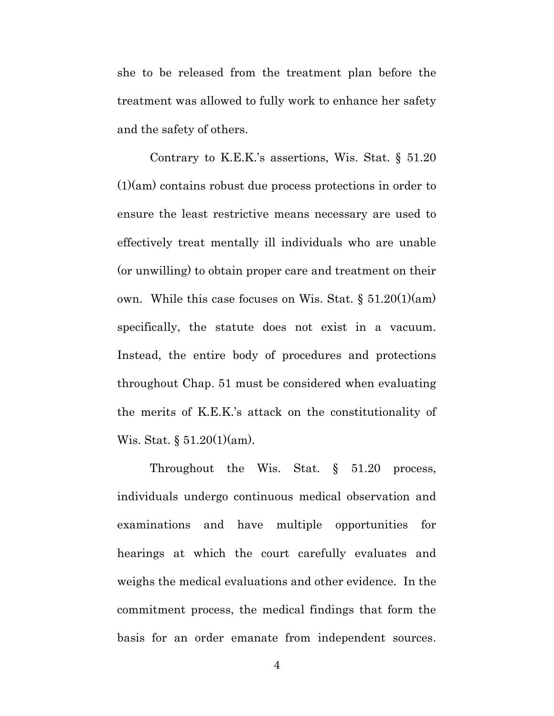she to be released from the treatment plan before the treatment was allowed to fully work to enhance her safety and the safety of others. she to be released from the treatment plan before the treatment was allowed to fully work to enhance her safety and the safety of others.

Contrary to K.E.K.'s assertions, Wis. Stat. § 51.20 Contrary to K.E.K.'s assertions, Wis. Stat. § 51.20 (1)(am) contains robust due process protections in order to ensure the least restrictive means necessary are used to effectively treat mentally ill individuals who are unable (or unwilling) to obtain proper care and treatment on their (or unwilling) to obtain proper care and treatment on their own. While this case focuses on Wis. Stat.  $\S~51.20(1)(am)$ specifically, the statute does not exist in a vacuum. Instead, the entire body of procedures and protections specifically, the statute does not exist in a vacuum. Instead, the entire body of procedures and protections throughout Chap. 51 must be considered when evaluating throughout Chap. 51 must be considered when evaluating the merits of K.E.K.'s attack on the constitutionality of the merits of K.E.K.'s attack on the constitutionality of Wis. Stat. § 51.20(1)(am). Wis. Stat. § 51.20(1)(am). (1)(am) contains robust due process protections in order to ensure the least restrictive means necessary are used to effectively treat mentally ill individuals who are unable

Throughout the Wis. Stat. § 51.20 process, Throughout the Wis. Stat. § 51.20 process, individuals undergo continuous medical observation and individuals undergo continuous medical observation and examinations and have multiple opportunities for examinations and have multiple opportunities for hearings at which the court carefully evaluates and hearings at which the court carefully evaluates and weighs the medical evaluations and other evidence. In the commitment process, the medical findings that form the basis for an order emanate from independent sources. commitment process, the medical findings that form the basis for an order emanate from independent sources.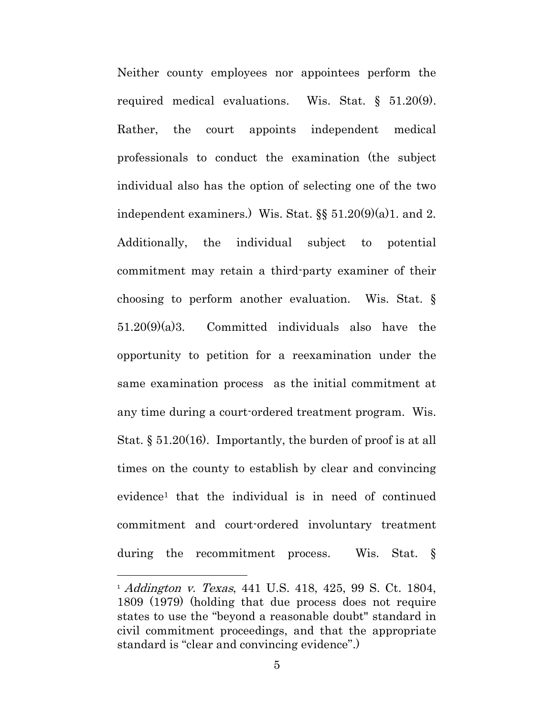Neither county employees nor appointees perform the required medical evaluations. Wis. Stat. § 51.20(9).<br>Rather, the court appoints independent medical required medical evaluations. Wis. Stat. § 51.20(9). Rather, the court appoints independent medical professionals to conduct the examination (the subject professionals to conduct the examination (the subject individual also has the option of selecting one of the two individual also has the option of selecting one of the two<br>independent examiners.) Wis. Stat.  $\S\S 51.20(9)(a)1$ . and 2. Additionally, the individual subject to potential Additionally, the individual subject to potential commitment may retain a third-party examiner of their choosing to perform another evaluation. Wis. Stat. § 51.20(9)(a)3. Committed individuals also have the opportunity to petition for a reexamination under the same examination process as the initial commitment at any time during a court-ordered treatment program. Wis. any time during a court-ordered treatment program. Wis.<br>Stat. § 51.20(16). Importantly, the burden of proof is at all times on the county to establish by clear and convincing evidence<sup>1</sup> that the individual is in need of continued commitment and court-ordered involuntary treatment  $e$  evidence<sup>1</sup> that the individual is in need of continued commitment and court-ordered involuntary treatment during the recommitment process. Wis. Stat. § during the recommitment process. Wis. Stat. § commitment may retain a third-party examiner of their<br>choosing to perform another evaluation. Wis. Stat.  $\S$ <br>51.20(9)(a)3. Committed individuals also have the<br>opportunity to petition for a reexamination under the<br>same exa

<sup>1</sup> Addington v. Texas, 441 U.S. 418, 425, 99 S. Ct. 1804, <sup>1</sup> Addington v. Texas, 441 U.S. 418, 425, 99 S. Ct. 1804, 1809 (1979) (holding that due process does not require 1809 (1979) (holding that due process does not require states to use the "beyond a reasonable doubt" standard in states to use the "beyond a reasonable doubt" standard in civil commitment proceedings, and that the appropriate civil commitment proceedings, and that the appropriate standard is "clear and convincing evidence".) standard is "clear and convincing evidence".)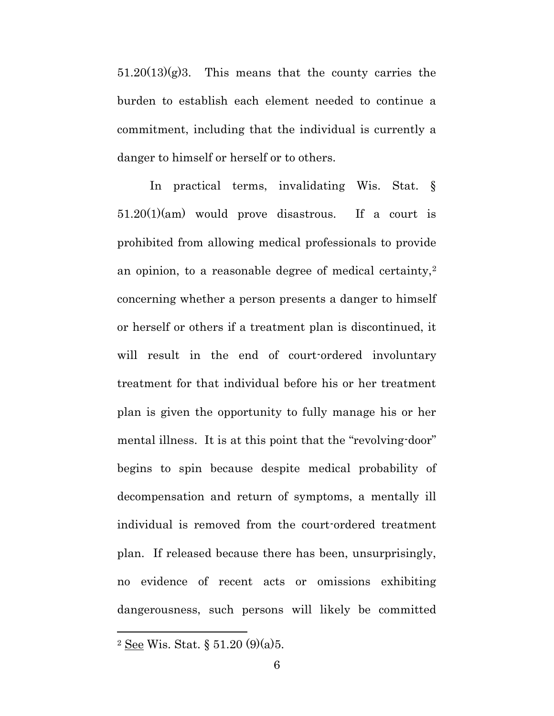51.20(13)(g)3. This means that the county carries the 51.20(13)(g)3. This means that the county carries the burden to establish each element needed to continue a burden to establish each element needed to continue a commitment, including that the individual is currently a commitment, including that the individual is currently a danger to himself or herself or to others.

In practical terms, invalidating Wis. Stat. § 51.20(1)(am) would prove disastrous. If a court is prohibited from allowing medical professionals to provide an opinion, to a reasonable degree of medical certainty, $2$ concerning whether a person presents a danger to himself<br>or herself or others if a treatment plan is discontinued, it or herself or others if a treatment plan is discontinued, it will result in the end of court-ordered involuntary will result in the end of court-ordered involuntary treatment for that individual before his or her treatment treatment for that individual before his or her treatment plan is given the opportunity to fully manage his or her plan is given the opportunity to fully manage his or her mental illness. It is at this point that the "revolving-door" mental illness. It is at this point that the "revolving-door" begins to spin because despite medical probability of begins to spin because despite medical probability of decompensation and return of symptoms, a mentally ill individual is removed from the court-ordered treatment decompensation and return of symptoms, a mentally ill individual is removed from the court-ordered treatment plan. If released because there has been, unsurprisingly, plan. If released because there has been, unsurprisingly, no evidence of recent acts or omissions exhibiting<br>dangerousness, such persons will likely be committed dangerousness, such persons will likely be committed danger to himself or herself or to others.<br>
In practical terms, invalidating Wis. Stat. §<br>
51.20(1)(am) would prove disastrous. If a court is<br>
prohibited from allowing medical professionals to provide

 $\ddot{\phantom{a}}$ 

<sup>&</sup>lt;sup>2</sup> <u>See</u> Wis. Stat. § 51.20 (9)(a)5.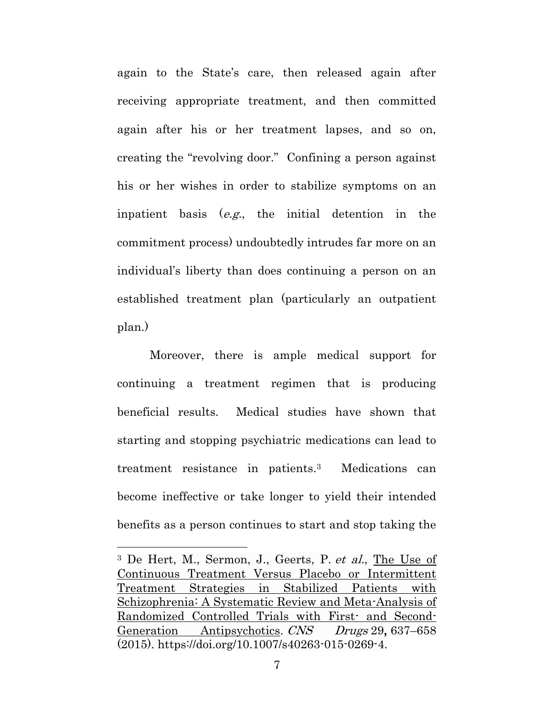again to the State's care, then released again after again to the State's care, then released again after receiving appropriate treatment, and then committed receiving appropriate treatment, and then committed<br>again after his or her treatment lapses, and so on, creating the "revolving door." Confining a person against creating the "revolving door." Confining a person against his or her wishes in order to stabilize symptoms on an inpatient basis  $(e.g., the initial determination in the$ his or her wishes in order to stabilize symptoms on an inpatient basis  $(e.g.,$  the initial detention in the commitment process) undoubtedly intrudes far more on an individual's liberty than does continuing a person on an individual's liberty than does continuing a person on an established treatment plan (particularly an outpatient established treatment plan (particularly an outpatient plan.)

Moreover, there is ample medical support for plan.) Moreover, there is ample medical support for continuing a treatment regimen that is producing<br>beneficial results. Medical studies have shown that beneficial results. Medical studies have shown that starting and stopping psychiatric medications can lead to starting and stopping psychiatric medications can lead to treatment resistance in patients.3 Medications can become ineffective or take longer to yield their intended benefits as a person continues to start and stop taking the treatment resistance in patients.<sup>3</sup> Medications can become ineffective or take longer to yield their intended benefits as a person continues to start and stop taking the

<sup>&</sup>lt;sup>3</sup> De Hert, M., Sermon, J., Geerts, P. et al., The Use of Continuous Treatment Versus Placebo or Intermittent Continuous Treatment Versus Placebo or Intermittent Treatment Strategies in Stabilized Patients with Treatment Strategies in Stabilized Patients with Schizophrenia: A Systematic Review and Meta-Analysis of Schizophrenia: A Systematic Review and Meta-Analysis of Randomized Controlled Trials with First- and Second-Randomized Controlled Trials with First- and Second-Generation Antipsychotics. CNS Drugs 29, 637–658 (2015). https://doi.org/10.1007/s40263-015-0269-4. Generation Antipsychotics. CNS Drugs 29, 637–658 (2015). https://doi.org/10.1007/s40263-015-0269-4.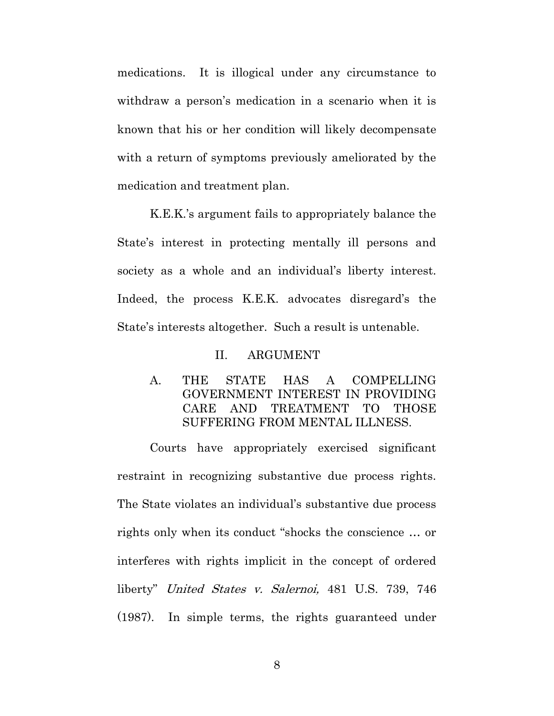medications. It is illogical under any circumstance to medications. It is illogical under any circumstance to withdraw a person's medication in a scenario when it is withdraw a person's medication in a scenario when it is known that his or her condition will likely decompensate known that his or her condition will likely decompensate with a return of symptoms previously ameliorated by the medication and treatment plan. medication and treatment plan.

K.E.K.'s argument fails to appropriately balance the State's interest in protecting mentally ill persons and K.E.K.'s argument fails to appropriately balance the State's interest in protecting mentally ill persons and society as a whole and an individual's liberty interest. society as a whole and an individual's liberty interest. Indeed, the process K.E.K. advocates disregard's the<br>State's interests altogether. Such a result is untenable. State's interests altogether. Such a result is untenable.

## II. ARGUMENT II. ARGUMENT

A. THE STATE HAS A COMPELLING GOVERNMENT INTEREST IN PROVIDING CARE AND TREATMENT TO THOSE SUFFERING FROM MENTAL ILLNESS. SUFFERING FROM MENTAL ILLNESS. A. THE STATE HAS A COMPELLING<br>GOVERNMENT\_INTEREST\_IN\_PROVIDING<br>CARE AND TREATMENT TO THOSE

Courts have appropriately exercised significant Courts have appropriately exercised significant restraint in recognizing substantive due process rights. The State violates an individual's substantive due process<br>rights only when its conduct "shocks the conscience ... or rights only when its conduct "shocks the conscience ... or interferes with rights implicit in the concept of ordered interferes with rights implicit in the concept of ordered liberty" *United States v. Salernoi*, 481 U.S. 739, 746<br>(1987). In simple terms, the rights guaranteed under (1987). In simple terms, the rights guaranteed under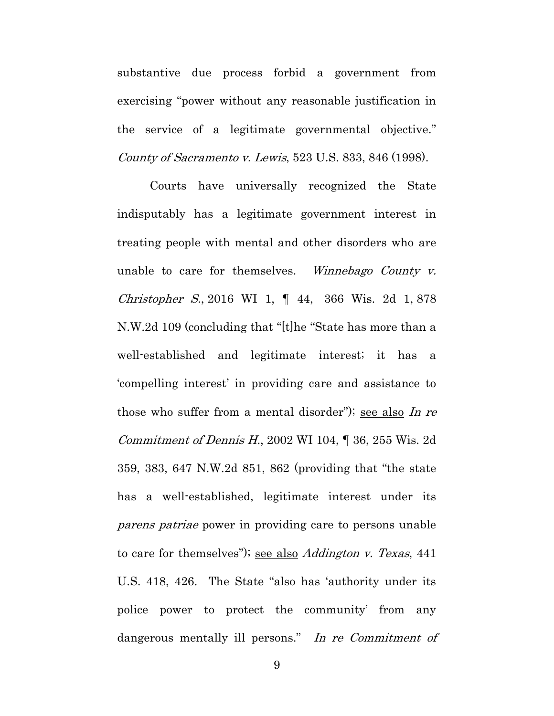substantive due process forbid a government from substantive due process forbid a government from exercising "power without any reasonable justification in exercising "power without any reasonable justification in the service of a legitimate governmental objective." the service of a legitimate governmental objective." County of Sacramento v. Lewis, 523 U.S. 833, 846 (1998). County of Sacramento v. Lewis, 523 U.S. 833, 846 (1998).

Courts have universally recognized the State indisputably has a legitimate government interest in Courts have universally recognized the State indisputably has a legitimate government interest in treating people with mental and other disorders who are treating people with mental and other disorders who are unable to care for themselves. Winnebago County v. Christopher S, 2016 WI 1, ¶ 44, 366 Wis. 2d 1, 878 unable to care for themselves. Winnebago County v.<br>Christopher S., 2016 WI 1,  $\P$  44, 366 Wis. 2d 1, 878<br>N.W.2d 109 (concluding that "[t]he "State has more than a well-established and legitimate interest; it has a well-established and legitimate interest; it has a `compelling interest' in providing care and assistance to 'compelling interest' in providing care and assistance to those who suffer from a mental disorder"); see also In re Commitment of Dennis H., 2002 WI 104, ¶ 36, 255 Wis. 2d Commitment of Dennis H., 2002 WI 104, ¶ 36, 255 Wis. 2d 359, 383, 647 N.W.2d 851, 862 (providing that "the state 359, 383, 647 N.W.2d 851, 862 (providing that "the state has a well-established, legitimate interest under its has a well-established, legitimate interest under its parens patriae power in providing care to persons unable to care for themselves"); see also Addington v. Texas, 441 U.S. 418, 426. The State "also has 'authority under its police power to protect the community' from any to care for themselves"); <u>see also</u> *Addington v. Texas*, 441<br>U.S. 418, 426. The State "also has 'authority under its<br>police power to protect the community' from any<br>dangerous mentally ill persons." In re Commitment of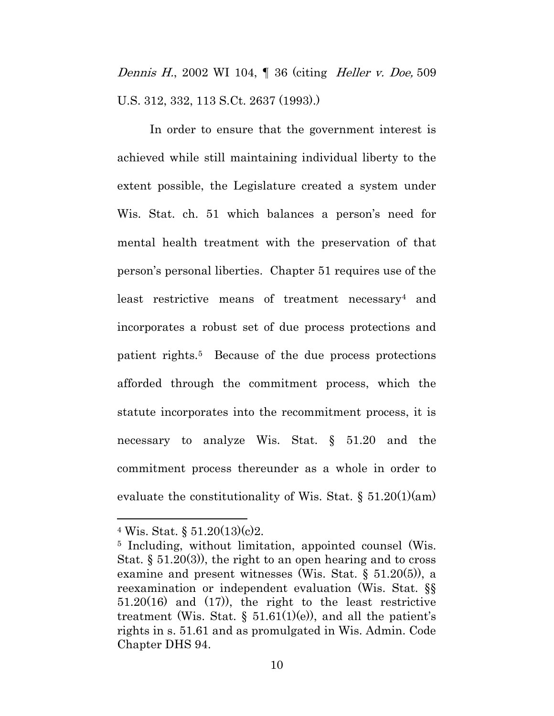Dennis H., 2002 WI 104, ¶ 36 (citing *Heller v. Doe,* 509 U.S. 312, 332, 113 S.Ct. 2637 (1993).)<br>In order to ensure that the government interest is U.S. 312, 332, 113 S.Ct. 2637 (1993).)

In order to ensure that the government interest is achieved while still maintaining individual liberty to the extent possible, the Legislature created a system under achieved while still maintaining individual liberty to the extent possible, the Legislature created a system under Wis. Stat. ch. 51 which balances a person's need for Wis. Stat. ch. 51 which balances a person's need for mental health treatment with the preservation of that mental health treatment with the preservation of that person's personal liberties. Chapter 51 requires use of the person's personal liberties. Chapter 51 requires use of the least restrictive means of treatment necessary<sup>4</sup> and incorporates a robust set of due process protections and least restrictive means of treatment necessary<sup>4</sup> and incorporates a robust set of due process protections and patient rights.<sup>5</sup> Because of the due process protections afforded through the commitment process, which the statute incorporates into the recommitment process, it is necessary to analyze Wis. Stat. § 51.20 and the statute incorporates into the recommitment process, it is necessary to analyze Wis. Stat. § 51.20 and the commitment process thereunder as a whole in order to commitment process thereunder as a whole in order to<br>evaluate the constitutionality of Wis. Stat. § 51.20(1)(am)

 $4$  Wis. Stat. §  $51.20(13)(c)2$ .

<sup>5</sup> Including, without limitation, appointed counsel (Wis. Stat.  $\S 51.20(3)$ , the right to an open hearing and to cross examine and present witnesses (Wis. Stat. § 51.20(5)), a reexamination or independent evaluation (Wis. Stat. §§ <sup>5</sup> Including, without limitation, appointed counsel (Wis. Stat. § 51.20(3)), the right to an open hearing and to cross examine and present witnesses (Wis. Stat. § 51.20(5)), a reexamination or independent evaluation (Wis treatment (Wis. Stat. §  $51.61(1)(e)$ ), and all the patient's rights in s. 51.61 and as promulgated in Wis. Admin. Code Chapter DHS 94. Chapter DHS 94.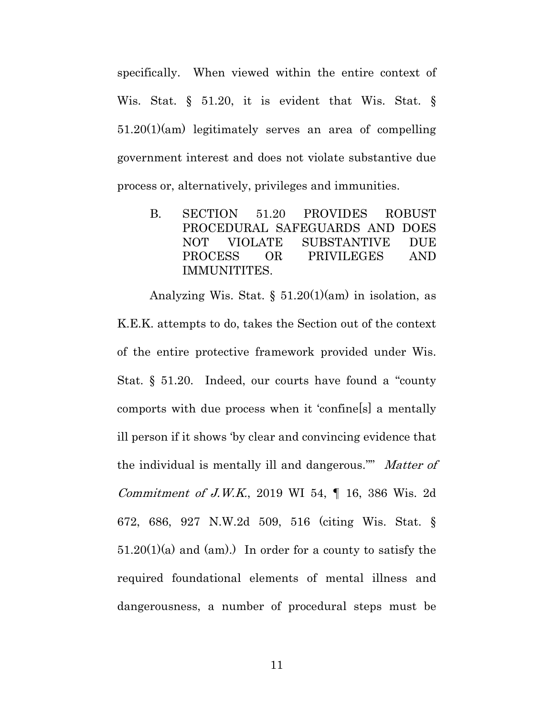specifically. When viewed within the entire context of Wis. Stat. § 51.20, it is evident that Wis. Stat. §  $51.20(1)(am)$  legitimately serves an area of compelling government interest and does not violate substantive due process or, alternatively, privileges and immunities. specifically. When viewed within the entire context of<br>Wis. Stat. § 51.20, it is evident that Wis. Stat. §<br>51.20(1)(am) legitimately serves an area of compelling<br>government interest and does not violate substantive due<br>pr

B. SECTION 51.20 PROVIDES ROBUST PROCEDURAL SAFEGUARDS AND DOES NOT VIOLATE SUBSTANTIVE DUE PROCESS OR PRIVILEGES AND PROCESS OR PRIVILEGES AND IMMUNITITES. IMMUNITITES. B. SECTION 51.20 PROVIDES ROBUST<br>PROCEDURAL SAFEGUARDS AND DOES<br>NOT VIOLATE SUBSTANTIVE DUE

Analyzing Wis. Stat.  $\S 51.20(1)(am)$  in isolation, as Analyzing Wis. Stat. § 51.20(1)(am) in isolation, as<br>K.E.K. attempts to do, takes the Section out of the context of the entire protective framework provided under Wis. Stat. § 51.20. Indeed, our courts have found a "county Stat. § 51.20. Indeed, our courts have found a "county<br>comports with due process when it 'confine[s] a mentally ill person if it shows 'by clear and convincing evidence that ill person if it shows 'by clear and convincing evidence that the individual is mentally ill and dangerous."" Matter of Commitment of J.W.K, 2019 WI 54, ¶ 16, 386 Wis. 2d Commitment of J.W.K., 2019 WI 54, ¶ 16, 386 Wis. 2d<br>672, 686, 927 N.W.2d 509, 516 (citing Wis. Stat. §  $51.20(1)(a)$  and  $(am)$ . In order for a county to satisfy the required foundational elements of mental illness and 51.20(1)(a) and (am).) In order for a county to satisfy the required foundational elements of mental illness and dangerousness, a number of procedural steps must be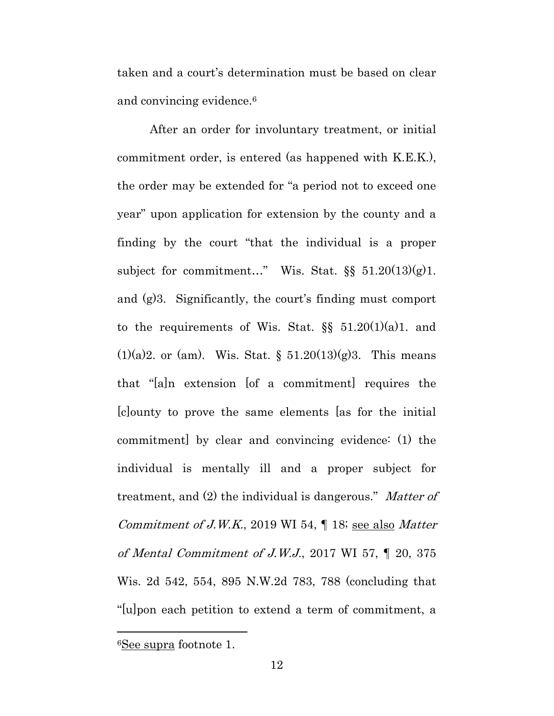taken and a court's determination must be based on clear taken and a court's determination must be based on clear and convincing evidence.6 and convincing evidence.<sup>6</sup>

After an order for involuntary treatment, or initial After an order for involuntary treatment, or initial<br>commitment order, is entered (as happened with K.E.K.), the order may be extended for "a period not to exceed one the order may be extended for "a period not to exceed one<br>year" upon application for extension by the county and a finding by the court "that the individual is a proper finding by the court "that the individual is a proper subject for commitment..." Wis. Stat.  $\S\S$  51.20(13)(g)1. and (g)3. Significantly, the court's finding must comport and (g)3. Significantly, the court's finding must comport to the requirements of Wis. Stat.  $\S\S$  51.20(1)(a)1. and  $(1)(a)$ 2. or (am). Wis. Stat. § 51.20 $(13)(g)$ 3. This means that "[a]n extension [of a commitment] requires the [c]ounty to prove the same elements [as for the initial commitment] by clear and convincing evidence: (1) the individual is mentally ill and a proper subject for individual is mentally ill and a proper subject for treatment, and (2) the individual is dangerous." Matter of Commitment of J.W.K., 2019 WI 54,  $\P$  18; see also Matter of Mental Commitment of J.W.J., 2017 WI 57,  $\P$  20, 375 Wis. 2d 542, 554, 895 N.W.2d 783, 788 (concluding that Wis. 2d 542, 554, 895 N.W.2d 783, 788 (concluding that "[u]pon each petition to extend a term of commitment, a "[u]pon each petition to extend a term of commitment, a that "[a]n extension [of a commitment] requires the [c]ounty to prove the same elements [as for the initial commitment] by clear and convincing evidence: (1) the

 $\ddot{\phantom{a}}$ 

<sup>6</sup>See supra footnote 1. <sup>6</sup>See supra footnote 1.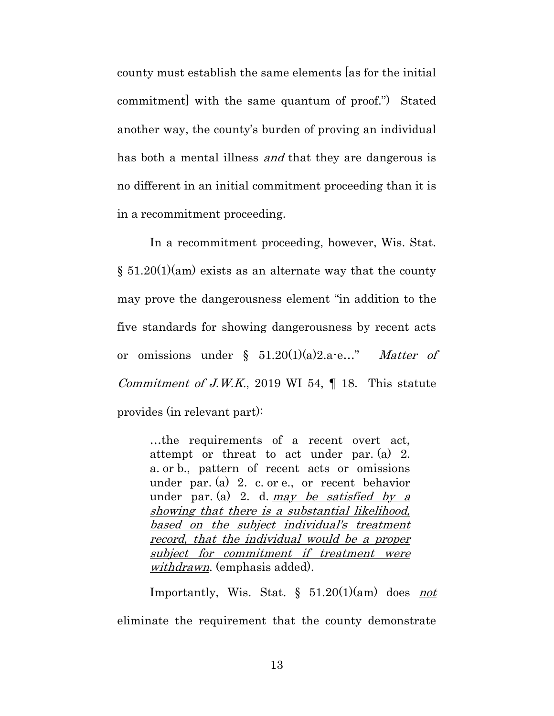county must establish the same elements [as for the initial county must establish the same elements [as for the initial commitment] with the same quantum of proof.") Stated commitment] with the same quantum of proof.") Stated another way, the county's burden of proving an individual another way, the county's burden of proving an individual has both a mental illness <u>and</u> that they are dangerous is<br>no different in an initial commitment proceeding than it is<br>in a recommitment proceeding. no different in an initial commitment proceeding than it is in a recommitment proceeding.

In a recommitment proceeding, however, Wis. Stat. In a recommitment proceeding, however, Wis. Stat.  $\S 51.20(1)(am)$  exists as an alternate way that the county may prove the dangerousness element "in addition to the five standards for showing dangerousness by recent acts or omissions under  $\S$  51.20(1)(a)2.a.e..." Matter of Commitment of J.W.K., 2019 WI 54,  $\P$  18. This statute provides (in relevant part): provides (in relevant part): § 51.20(1)(am) exists as an alternate way that the county may prove the dangerousness element "in addition to the five standards for showing dangerousness by recent acts or omissions under § 51.20(1)(a)2.a-e…" Matter of

> ...the requirements of a recent overt act, …the requirements of a recent overt act, attempt or threat to act under par. (a) 2. a. or b., pattern of recent acts or omissions under par. (a) 2. c. or e., or recent behavior under par. (a) 2. d. may be satisfied by a showing that there is a substantial likelihood, based on the subject individual's treatment record, that the individual would be a proper record, that the individual would be a proper subject for commitment if treatment were subject for commitment if treatment were withdrawn. (emphasis added). attempt or threat to act under par. (a) 2.<br>a. or b., pattern of recent acts or omissions<br>under par. (a) 2. c. or e., or recent behavior<br>under par. (a) 2. d.  $\frac{may}{be}$  satisfied by a<br>showing that there is a substantial lik

Importantly, Wis. Stat.  $\S$  51.20(1)(am) does not eliminate the requirement that the county demonstrate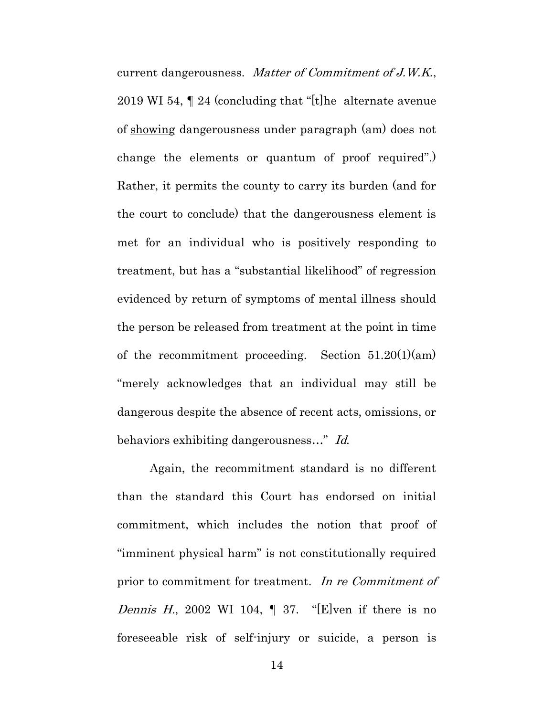current dangerousness. Matter of Commitment of J.W.K., 2019 WI 54,  $\parallel$  24 (concluding that "[t] he alternate avenue 2019 WI 54, ¶ 24 (concluding that "[t]he alternate avenue<br>of <u>showing</u> dangerousness under paragraph (am) does not change the elements or quantum of proof required".) change the elements or quantum of proof required".) Rather, it permits the county to carry its burden (and for Rather, it permits the county to carry its burden (and for the court to conclude) that the dangerousness element is the court to conclude) that the dangerousness element is<br>met for an individual who is positively responding to treatment, but has a "substantial likelihood" of regression treatment, but has a "substantial likelihood" of regression evidenced by return of symptoms of mental illness should<br>the person be released from treatment at the point in time<br>of the recommitment proceeding. Section 51.20(1)(am) the person be released from treatment at the point in time of the recommitment proceeding. Section  $51.20(1)(am)$ "merely acknowledges that an individual may still be dangerous despite the absence of recent acts, omissions, or "merely acknowledges that an individual may still be dangerous despite the absence of recent acts, omissions, or behaviors exhibiting dangerousness..." Id. behaviors exhibiting dangerousness…" Id.

Again, the recommitment standard is no different Again, the recommitment standard is no different than the standard this Court has endorsed on initial than the standard this Court has endorsed on initial<br>commitment, which includes the notion that proof of "imminent physical harm" is not constitutionally required "imminent physical harm" is not constitutionally required prior to commitment for treatment. In re Commitment of Dennis H., 2002 WI 104,  $\parallel$  37. "[E]ven if there is no foreseeable risk of self-injury or suicide, a person is foreseeable risk of self-injury or suicide, a person is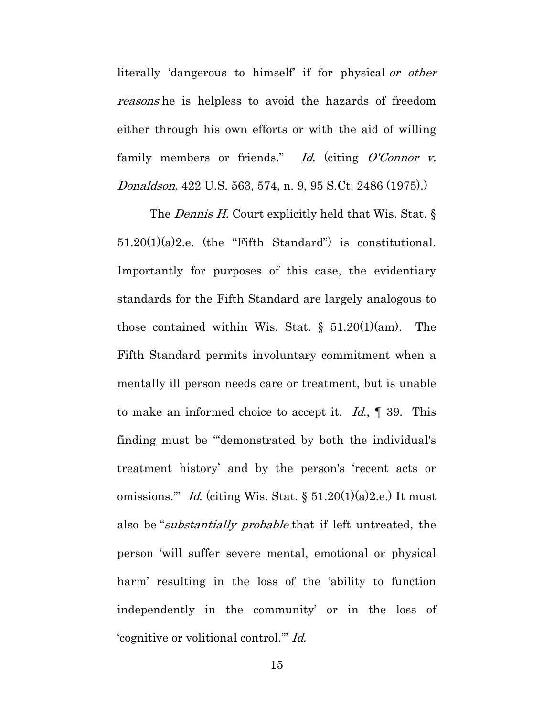literally 'dangerous to himself' if for physical or other reasons he is helpless to avoid the hazards of freedom either through his own efforts or with the aid of willing family members or friends." Id. (citing O'Connor v. Donaldson, 422 U.S. 563, 574, n. 9, 95 S.Ct. 2486 (1975).)

The *Dennis H.* Court explicitly held that Wis. Stat. § family members or friends." Id. (citing O'Connor v.<br>
Donaldson, 422 U.S. 563, 574, n. 9, 95 S.Ct. 2486 (1975).)<br>
The Dennis H. Court explicitly held that Wis. Stat. §<br>
51.20(1)(a)2.e. (the "Fifth Standard") is constitutio Importantly for purposes of this case, the evidentiary<br>standards for the Fifth Standard are largely analogous to<br>those contained within Wis. Stat.  $\S$  51.20(1)(am). The<br>Fifth Standard permits involuntary commitment when a standards for the Fifth Standard are largely analogous to those contained within Wis. Stat.  $\S$  51.20(1)(am). The Fifth Standard permits involuntary commitment when a mentally ill person needs care or treatment, but is unable to make an informed choice to accept it.  $Id.$ ,  $\P$  39. This finding must be 'demonstrated by both the individual's treatment history' and by the person's 'recent acts or treatment history' and by the person's 'recent acts or omissions."" *Id.* (citing Wis. Stat. § 51.20(1)(a)2.e.) It must also be "substantially probable that if left untreated, the person 'will suffer severe mental, emotional or physical person 'will suffer severe mental, emotional or physical<br>harm' resulting in the loss of the 'ability to function independently in the community' or in the loss of 'cognitive or volitional control.'" *Id.* `cognitive or volitional control."' Id. mentally ill person needs care or treatment, but is unable<br>to make an informed choice to accept it.  $Id$ ,  $\P$  39. This<br>finding must be "demonstrated by both the individual's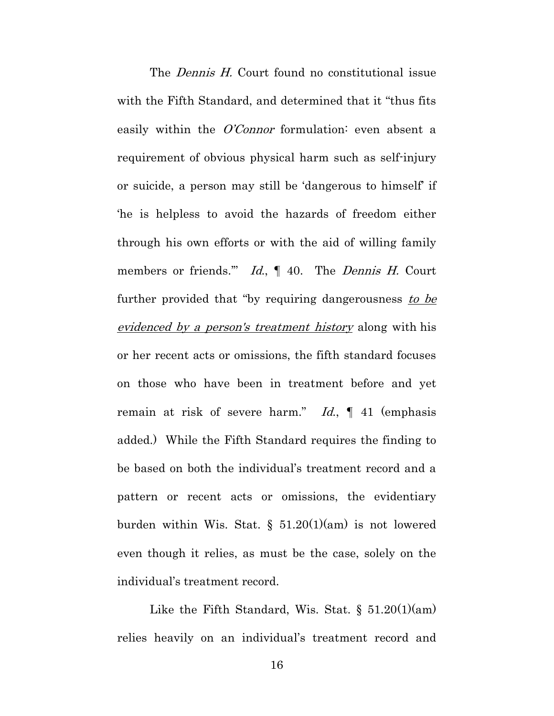The *Dennis H.* Court found no constitutional issue with the Fifth Standard, and determined that it "thus fits with the Fifth Standard, and determined that it "thus fits easily within the *O'Connor* formulation: even absent a requirement of obvious physical harm such as self-injury requirement of obvious physical harm such as self-injury or suicide, a person may still be 'dangerous to himself' if or suicide, a person may still be 'dangerous to himself' if<br>'he is helpless to avoid the hazards of freedom either through his own efforts or with the aid of willing family through his own efforts or with the aid of willing family members or friends." *Id.*,  $\parallel$  40. The *Dennis H.* Court further provided that "by requiring dangerousness to be evidenced by a person's treatment history along with his<br>or her recent acts or omissions, the fifth standard focuses or her recent acts or omissions, the fifth standard focuses on those who have been in treatment before and yet remain at risk of severe harm." *Id.*, ¶ 41 (emphasis added.) While the Fifth Standard requires the finding to added.) While the Fifth Standard requires the finding to be based on both the individual's treatment record and a be based on both the individual's treatment record and a pattern or recent acts or omissions, the evidentiary burden within Wis. Stat.  $\S$  51.20(1)(am) is not lowered even though it relies, as must be the case, solely on the individual's treatment record. individual's treatment record. pattern or recent acts or omissions, the evidentiary burden within Wis. Stat. § 51.20(1)(am) is not lowered even though it relies, as must be the case, solely on the

Like the Fifth Standard, Wis. Stat. § 51.20(1)(am) Like the Fifth Standard, Wis. Stat. § 51.20(1)(am) relies heavily on an individual's treatment record and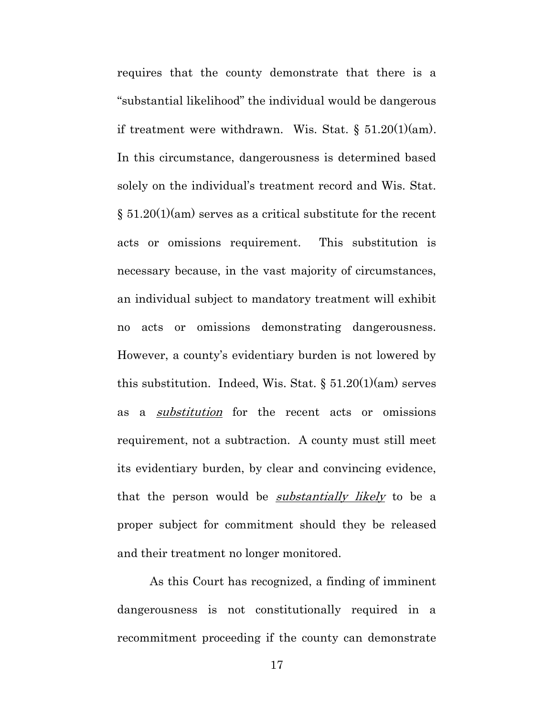requires that the county demonstrate that there is a "substantial likelihood" the individual would be dangerous "substantial likelihood" the individual would be dangerous if treatment were withdrawn. Wis. Stat. § 51.20(1)(am). if treatment were withdrawn. Wis. Stat. § 51.20(1)(am). In this circumstance, dangerousness is determined based In this circumstance, dangerousness is determined based solely on the individual's treatment record and Wis. Stat. § 51.20(1)(am) serves as a critical substitute for the recent § 51.20(1)(am) serves as a critical substitute for the recent acts or omissions requirement. This substitution is acts or omissions requirement. This substitution is necessary because, in the vast majority of circumstances, necessary because, in the vast majority of circumstances, an individual subject to mandatory treatment will exhibit an individual subject to mandatory treatment will exhibit no acts or omissions demonstrating dangerousness. no acts or omissions demonstrating dangerousness. However, a county's evidentiary burden is not lowered by However, a county's evidentiary burden is not lowered by this substitution. Indeed, Wis. Stat.  $\S 51.20(1)(am)$  serves as a *substitution* for the recent acts or omissions requirement, not a subtraction. A county must still meet its evidentiary burden, by clear and convincing evidence, its evidentiary burden, by clear and convincing evidence, that the person would be *substantially likely* to be a proper subject for commitment should they be released and their treatment no longer monitored. this substitution. Indeed, Wis. Stat. § 51.20(1)(am) serves<br>as a <u>substitution</u> for the recent acts or omissions<br>requirement, not a subtraction. A county must still meet that the person would be *substantially likely* to be a proper subject for commitment should they be released and their treatment no longer monitored.<br>As this Court has recognized, a finding of imminent

As this Court has recognized, a finding of imminent dangerousness is not constitutionally required in a dangerousness is not constitutionally required in a recommitment proceeding if the county can demonstrate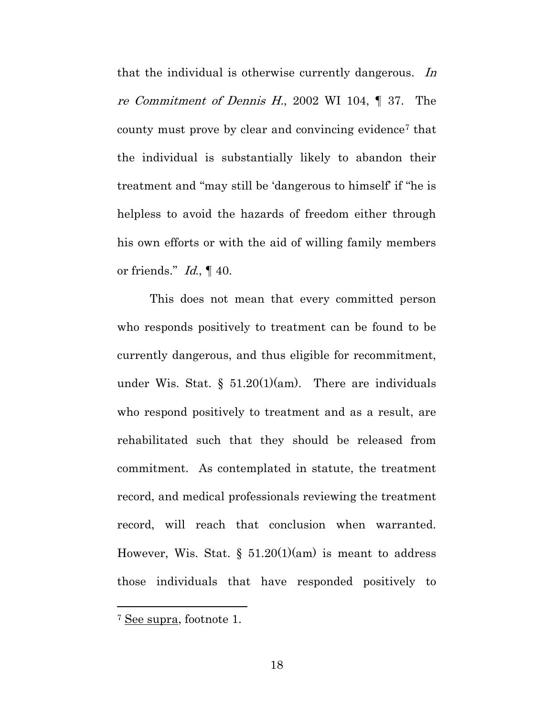that the individual is otherwise currently dangerous. In re Commitment of Dennis H., 2002 WI 104,  $\parallel$  37. The county must prove by clear and convincing evidence7 that the individual is substantially likely to abandon their treatment and "may still be 'dangerous to himself' if "he is treatment and "may still be 'dangerous to himself' if "he is helpless to avoid the hazards of freedom either through helpless to avoid the hazards of freedom either through his own efforts or with the aid of willing family members his own efforts or with the aid of willing family members or friends."  $Id.$ ,  $\P$  40. or friends."  $Id$ ,  $\P$  40.<br>This does not mean that every committed person that the individual is otherwise currently dangerous. In re Commitment of Dennis H., 2002 WI 104,  $\P$  37. The county must prove by clear and convincing evidence<sup>7</sup> that

who responds positively to treatment can be found to be who responds positively to treatment can be found to be<br>currently dangerous, and thus eligible for recommitment, under Wis. Stat. §  $51.20(1)(am)$ . There are individuals who respond positively to treatment and as a result, are rehabilitated such that they should be released from who respond positively to treatment and as a result, are rehabilitated such that they should be released from commitment. As contemplated in statute, the treatment commitment. As contemplated in statute, the treatment record, and medical professionals reviewing the treatment record, will reach that conclusion when warranted. record, will reach that conclusion when warranted.<br>However, Wis. Stat. § 51.20(1)(am) is meant to address those individuals that have responded positively to those individuals that have responded positively to

<sup>7</sup> See supra, footnote 1. <sup>7</sup> See supra, footnote 1.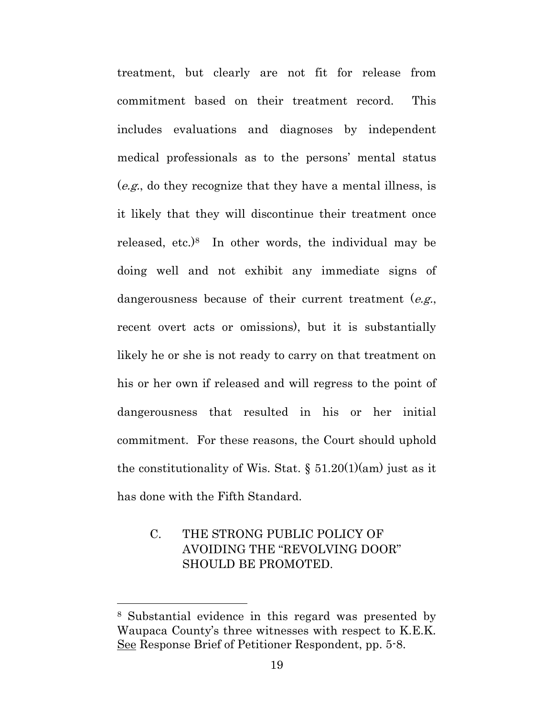treatment, but clearly are not fit for release from treatment, but clearly are not fit for release from commitment based on their treatment record. This commitment based on their treatment record. This<br>includes evaluations and diagnoses by independent medical professionals as to the persons' mental status medical professionals as to the persons' mental status  $(e.g., do they recognize that they have a mental illness, is$ it likely that they will discontinue their treatment once released, etc.) $8$  In other words, the individual may be doing well and not exhibit any immediate signs of dangerousness because of their current treatment  $(e.g.,$ dangerousness because of their current treatment  $(e.g.,)$ recent overt acts or omissions), but it is substantially<br>likely he or she is not ready to carry on that treatment on likely he or she is not ready to carry on that treatment on his or her own if released and will regress to the point of dangerousness that resulted in his or her initial his or her own if released and will regress to the point of dangerousness that resulted in his or her initial commitment. For these reasons, the Court should uphold the constitutionality of Wis. Stat.  $\S~51.20(1)(am)$  just as it has done with the Fifth Standard. has done with the Fifth Standard. (*e.g.*, do they recognize that they have a mental illness, is it likely that they will discontinue their treatment once released, etc.)<sup>8</sup> In other words, the individual may be

# C. THE STRONG PUBLIC POLICY OF C. THE STRONG PUBLIC POLICY OF AVOIDING THE "REVOLVING DOOR" AVOIDING THE "REVOLVING DOOR" SHOULD BE PROMOTED. SHOULD BE PROMOTED.

<sup>8</sup> Substantial evidence in this regard was presented by <sup>8</sup> Substantial evidence in this regard was presented by Waupaca County's three witnesses with respect to K.E.K. Waupaca County's three witnesses with respect to K.E.K. See Response Brief of Petitioner Respondent, pp. 5-8. See Response Brief of Petitioner Respondent, pp. 5-8.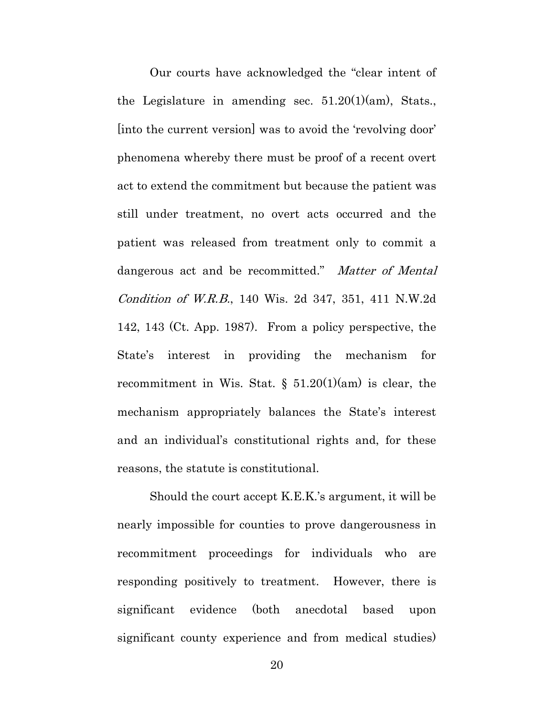Our courts have acknowledged the "clear intent of Our courts have acknowledged the "clear intent of the Legislature in amending sec.  $51.20(1)(am)$ , Stats., [into the current version] was to avoid the 'revolving door' [into the current version] was to avoid the 'revolving door' phenomena whereby there must be proof of a recent overt phenomena whereby there must be proof of a recent overt act to extend the commitment but because the patient was still under treatment, no overt acts occurred and the act to extend the commitment but because the patient was<br>still under treatment, no overt acts occurred and the<br>patient was released from treatment only to commit a dangerous act and be recommitted." Matter of Mental Condition of W.R.B., 140 Wis. 2d 347, 351, 411 N.W.2d Condition of W.R.B., 140 Wis. 2d 347, 351, 411 N.W.2d 142, 143 (Ct. App. 1987). From a policy perspective, the State's interest in providing the mechanism for State's interest in providing the mechanism for recommitment in Wis. Stat.  $\S$  51.20(1)(am) is clear, the mechanism appropriately balances the State's interest mechanism appropriately balances the State's interest and an individual's constitutional rights and, for these reasons, the statute is constitutional. reasons, the statute is constitutional.

Should the court accept K.E.K.'s argument, it will be Should the court accept K.E.K.'s argument, it will be nearly impossible for counties to prove dangerousness in nearly impossible for counties to prove dangerousness in recommitment proceedings for individuals who are responding positively to treatment. However, there is<br>significant evidence (both anecdotal based upon significant evidence (both anecdotal based upon significant county experience and from medical studies) significant county experience and from medical studies)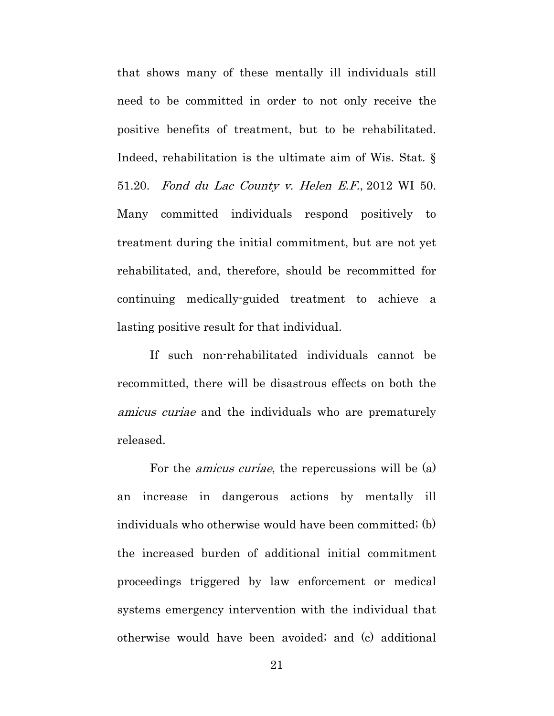that shows many of these mentally ill individuals still that shows many of these mentally ill individuals still need to be committed in order to not only receive the positive benefits of treatment, but to be rehabilitated. need to be committed in order to not only receive the positive benefits of treatment, but to be rehabilitated. Indeed, rehabilitation is the ultimate aim of Wis. Stat.  $\S$ <br>51.20. *Fond du Lac County v. Helen E.F.*, 2012 WI 50.<br>Many committed individuals respond positively to<br>treatment during the initial commitment, but are not yet 51.20. Fond du Lac County v. Helen E.F., 2012 WI 50. Many committed individuals respond positively to treatment during the initial commitment, but are not yet rehabilitated, and, therefore, should be recommitted for continuing medically-guided treatment to achieve a lasting positive result for that individual. rehabilitated, and, therefore, should be recommitted for continuing medically-guided treatment to achieve a lasting positive result for that individual.

If such non-rehabilitated individuals cannot be If such non-rehabilitated individuals cannot be recommitted, there will be disastrous effects on both the recommitted, there will be disastrous effects on both the amicus curiae and the individuals who are prematurely released. released.

For the *amicus curiae*, the repercussions will be (a) an increase in dangerous actions by mentally ill individuals who otherwise would have been committed; (b) the increased burden of additional initial commitment the increased burden of additional initial commitment proceedings triggered by law enforcement or medical proceedings triggered by law enforcement or medical<br>systems emergency intervention with the individual that otherwise would have been avoided; and (c) additional otherwise would have been avoided; and (c) additional For the *amicus curiae*, the repercussions will be (a) an increase in dangerous actions by mentally ill individuals who otherwise would have been committed; (b)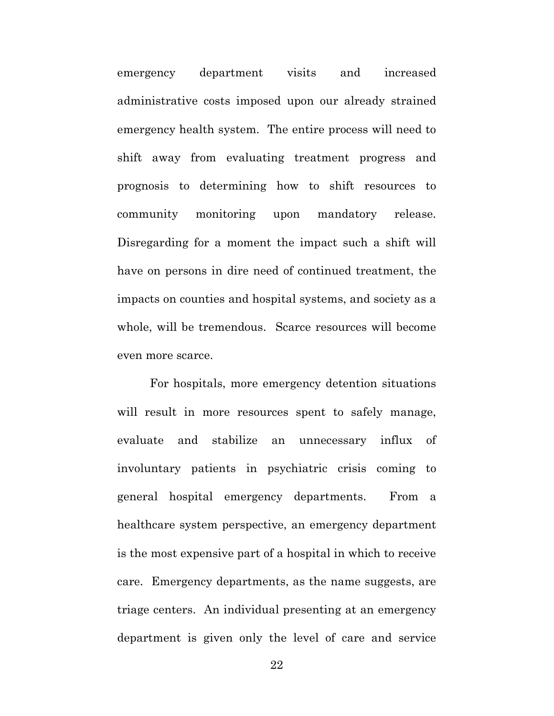emergency department visits and increased administrative costs imposed upon our already strained emergency department visits and increased<br>administrative costs imposed upon our already strained<br>emergency health system. The entire process will need to shift away from evaluating treatment progress and<br>prognosis to determining how to shift resources to<br>community monitoring upon mandatory release.<br>Disregarding for a moment the impact such a shift will prognosis to determining how to shift resources to community monitoring upon mandatory release. Disregarding for a moment the impact such a shift will have on persons in dire need of continued treatment, the have on persons in dire need of continued treatment, the<br>impacts on counties and hospital systems, and society as a whole, will be tremendous. Scarce resources will become<br>even more scarce. even more scarce.

For hospitals, more emergency detention situations will result in more resources spent to safely manage, For hospitals, more emergency detention situations will result in more resources spent to safely manage, evaluate and stabilize an unnecessary influx of involuntary patients in psychiatric crisis coming to general hospital emergency departments. From a healthcare system perspective, an emergency department is the most expensive part of a hospital in which to receive is the most expensive part of a hospital in which to receive care. Emergency departments, as the name suggests, are triage centers. An individual presenting at an emergency department is given only the level of care and service triage centers. An individual presenting at an emergency department is given only the level of care and service evaluate and stabilize an unnecessary influx of involuntary patients in psychiatric crisis coming to general hospital emergency departments. From a healthcare system perspective, an emergency department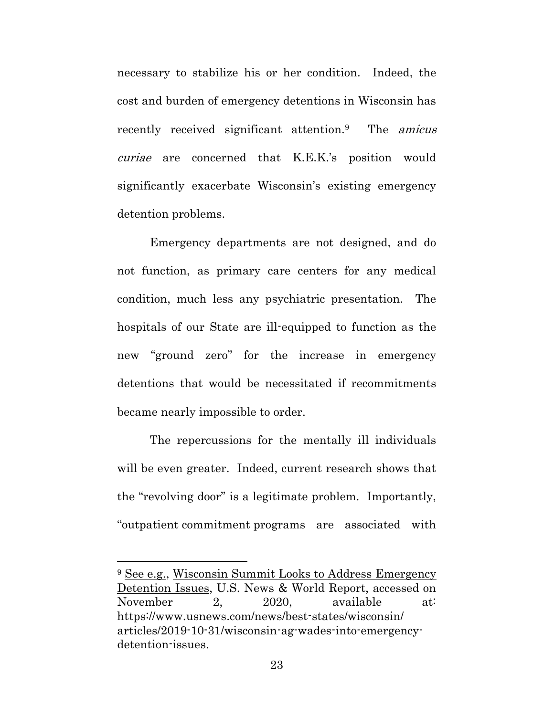necessary to stabilize his or her condition. Indeed, the cost and burden of emergency detentions in Wisconsin has recently received significant attention.<sup>9</sup> The *amicus* cost and burden of emergency detentions in Wisconsin has recently received significant attention.9 The amicus curiae are concerned that K.E.K.'s position would curiae are concerned that K.E.K.'s position would<br>significantly exacerbate Wisconsin's existing emergency detention problems. detention problems.

Emergency departments are not designed, and do Emergency departments are not designed, and do not function, as primary care centers for any medical not function, as primary care centers for any medical condition, much less any psychiatric presentation. The condition, much less any psychiatric presentation. The hospitals of our State are ill-equipped to function as the new "ground zero" for the increase in emergency new "ground zero" for the increase in emergency detentions that would be necessitated if recommitments<br>became nearly impossible to order. became nearly impossible to order.

The repercussions for the mentally ill individuals The repercussions for the mentally ill individuals<br>will be even greater. Indeed, current research shows that the "revolving door" is a legitimate problem. Importantly, the "revolving door" is a legitimate problem. Importantly, "outpatient commitment programs are associated with "outpatient commitment programs are associated with

<sup>&</sup>lt;sup>9</sup> See e.g., Wisconsin Summit Looks to Address Emergency <sup>9</sup> <u>See e.g., Wisconsin Summit Looks to Address Emergency</u><br><u>Detention Issues</u>, U.S. News & World Report, accessed on November 2, 2020, available at: https://www.usnews.com/news/best-states/wisconsin/ https://www.usnews.com/news/best-states/wisconsin/ articles/2019-10-31/wisconsin-ag-wades-into-emergency-articles/2019-10-31/wisconsin-ag-wades-into-emergencydetention-issues. detention-issues.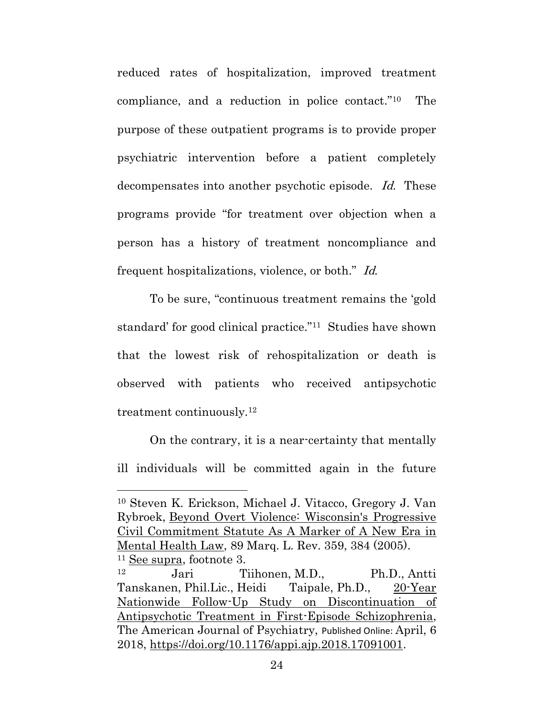reduced rates of hospitalization, improved treatment compliance, and a reduction in police contact."<sup>10</sup> The compliance, and a reduction in police contact."<sup>10</sup> The<br>purpose of these outpatient programs is to provide proper psychiatric intervention before a patient completely decompensates into another psychotic episode. Id. These programs provide "for treatment over objection when a decompensates into another psychotic episode. Id. These programs provide "for treatment over objection when a person has a history of treatment noncompliance and person has a history of treatment noncompliance and frequent hospitalizations, violence, or both." Id.

To be sure, "continuous treatment remains the 'gold standard' for good clinical practice."<sup>11</sup> Studies have shown that the lowest risk of rehospitalization or death is observed with patients who received antipsychotic treatment continuously.<sup>12</sup> treatment continuously.12 To be sure, "continuous treatment remains the 'gold standard' for good clinical practice."11 Studies have shown that the lowest risk of rehospitalization or death is

On the contrary, it is a near-certainty that mentally On the contrary, it is a near-certainty that mentally<br>ill individuals will be committed again in the future

<sup>10</sup> Steven K. Erickson, Michael J. Vitacco, Gregory J. Van <sup>10</sup> Steven K. Erickson, Michael J. Vitacco, Gregory J. Van Rybroek, Beyond Overt Violence: Wisconsin's Progressive Rybroek, Beyond Overt Violence: Wisconsin's Progressive Civil Commitment Statute As A Marker of A New Era in Civil Commitment Statute As A Marker of A New Era in Mental Health Law, 89 Marq. L. Rev. 359, 384 (2005). Mental Health Law, 89 Marq. L. Rev. 359, 384 (2005). <sup>11</sup> See supra, footnote 3. <sup>11</sup> See supra, footnote 3.

<sup>&</sup>lt;sup>12</sup> Jari Tiihonen, M.D., Ph.D., Antti Tanskanen, Phil.Lic., Heidi Taipale, Ph.D., 20-Year <sup>12</sup> Jari Tiihonen, M.D., Ph.D., Antti<br>Tanskanen, Phil.Lic., Heidi Taipale, Ph.D., <u>20-Year</u><br><u>Nationwide Follow-Up Study on Discontinuation of</u> Antipsychotic Treatment in First-Episode Schizophrenia, Antipsychotic Treatment in First-Episode Schizophrenia, The American Journal of Psychiatry, Published Online: April, 6 The American Journal of Psychiatry, Published Online: April, 6 2018, https://doi.org/10.1176/appi.ajp.2018.17091001. 2018, https://doi.org/10.1176/appi.ajp.2018.17091001.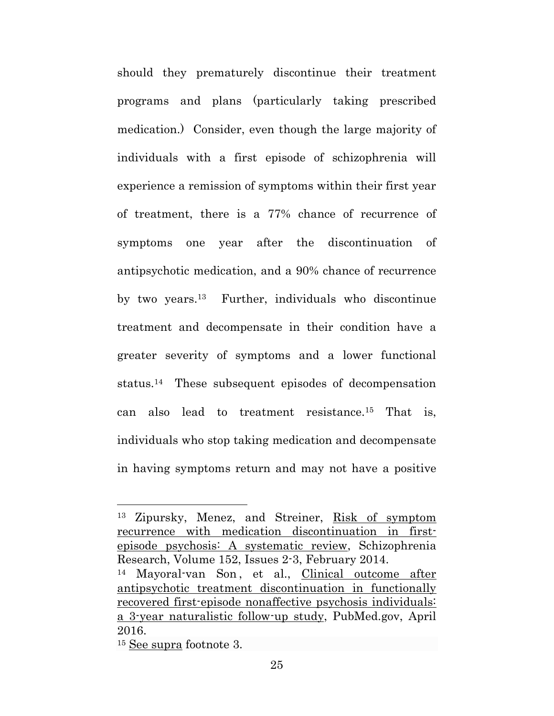should they prematurely discontinue their treatment should they prematurely discontinue their treatment programs and plans (particularly taking prescribed medication.) Consider, even though the large majority of programs and plans (particularly taking prescribed medication.) Consider, even though the large majority of individuals with a first episode of schizophrenia will<br>experience a remission of symptoms within their first year experience a remission of symptoms within their first year of treatment, there is a 77% chance of recurrence of<br>symptoms one year after the discontinuation of symptoms one year after the discontinuation of antipsychotic medication, and a 90% chance of recurrence by two years.13 Further, individuals who discontinue treatment and decompensate in their condition have a antipsychotic medication, and a 90% chance of recurrence<br>by two years.<sup>13</sup> Further, individuals who discontinue<br>treatment and decompensate in their condition have a<br>greater severity of symptoms and a lower functional status.<sup>14</sup> These subsequent episodes of decompensation can also lead to treatment resistance.<sup>15</sup> That is, individuals who stop taking medication and decompensate individuals who stop taking medication and decompensate in having symptoms return and may not have a positive in having symptoms return and may not have a positive

<sup>13</sup> Zipursky, Menez, and Streiner, Risk of symptom <sup>13</sup> Zipursky, Menez, and Streiner, Risk of symptom recurrence with medication discontinuation in firstepisode psychosis: A systematic review, Schizophrenia episode psychosis: A systematic review, Schizophrenia Research, Volume 152, Issues 2-3, February 2014. Research, Volume 152, Issues 2-3, February 2014.

<sup>&</sup>lt;sup>14</sup> Mayoral-van Son, et al., Clinical outcome after antipsychotic treatment discontinuation in functionally antipsychotic treatment discontinuation in functionally recovered first-episode nonaffective psychosis individuals: <u>a 3-year naturalistic follow-up study</u>, PubMed.gov, April<br>2016. 2016.

<sup>15</sup> See supra footnote 3. <sup>15</sup> See supra footnote 3.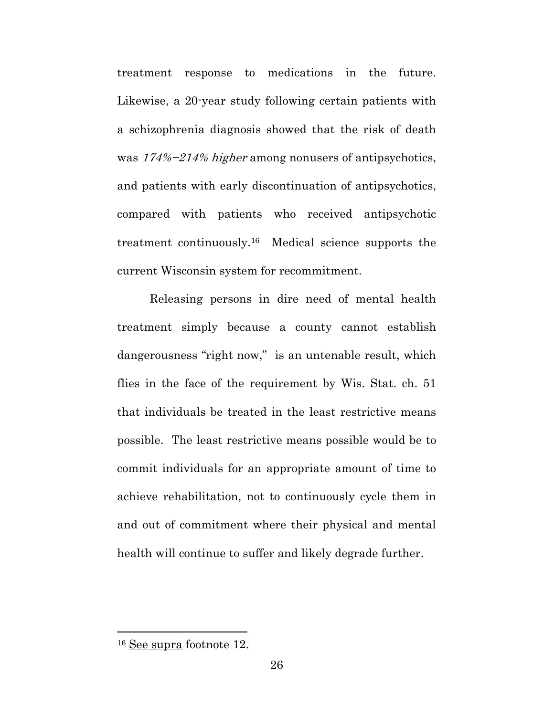treatment response to medications in the future. treatment response to medications in the future.<br>Likewise, a 20-year study following certain patients with a schizophrenia diagnosis showed that the risk of death a schizophrenia diagnosis showed that the risk of death was 174%-214% higher among nonusers of antipsychotics, was 174%−214% higher among nonusers of antipsychotics, and patients with early discontinuation of antipsychotics, and patients with early discontinuation of antipsychotics, compared with patients who received antipsychotic compared with patients who received antipsychotic<br>treatment continuously.<sup>16</sup> Medical science supports the current Wisconsin system for recommitment. current Wisconsin system for recommitment.

Releasing persons in dire need of mental health Releasing persons in dire need of mental health treatment simply because a county cannot establish treatment simply because a county cannot establish dangerousness "right now," is an untenable result, which dangerousness "right now," is an untenable result, which flies in the face of the requirement by Wis. Stat. ch. 51 that individuals be treated in the least restrictive means flies in the face of the requirement by Wis. Stat. ch. 51<br>that individuals be treated in the least restrictive means<br>possible. The least restrictive means possible would be to commit individuals for an appropriate amount of time to commit individuals for an appropriate amount of time to<br>achieve rehabilitation, not to continuously cycle them in and out of commitment where their physical and mental and out of commitment where their physical and mental health will continue to suffer and likely degrade further. health will continue to suffer and likely degrade further.

<sup>16</sup> See supra footnote 12. <sup>16</sup> See supra footnote 12.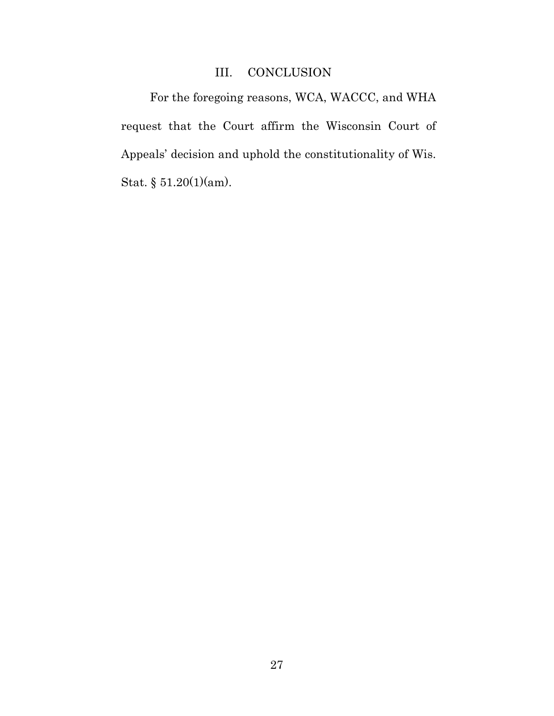## III. CONCLUSION III. CONCLUSION

For the foregoing reasons, WCA, WACCC, and WHA For the foregoing reasons, WCA, WACCC, and WHA request that the Court affirm the Wisconsin Court of Appeals' decision and uphold the constitutionality of Wis. Appeals' decision and uphold the constitutionality of Wis. Stat. § 51.20(1)(am). Stat. § 51.20(1)(am).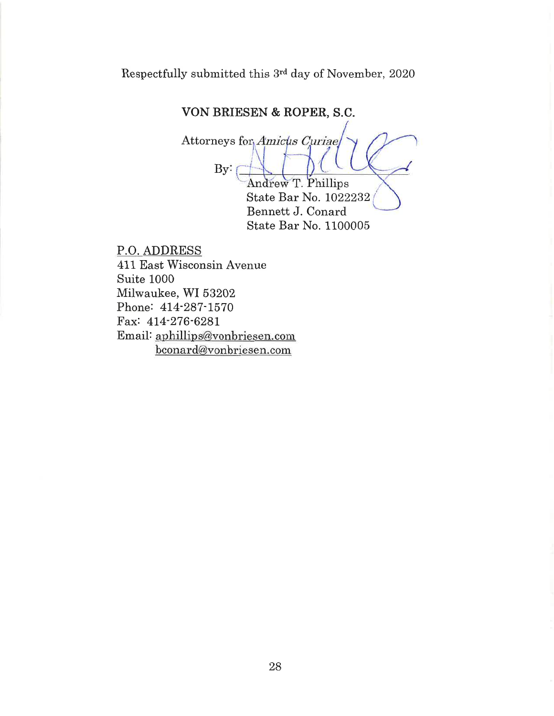Respectfully submitted this 3rd day of November, 2020 Respectfully submitted this 3"d day of November,202O

## VON BRIESEN & ROPER, S.C. VON BRIESEN & ROPER, S.C.

Attorneys for Amicus Curiae  $\mathrm{By:} \subset$ Andrew T. Phillips  $\operatorname{State\,Bar}$  No.  $1022232/$ Bennett J. Conard Bennett J. Conard State Bar No. 1100005 State Bar No. 1100005

P.O. ADDRESS P.O. ADDRESS 411 East Wisconsin Avenue 411 East Wisconsin Avenue Suite 1000 Suite 1000 Milwaukee, WI 53202 Milwaukee, WI 53202 Phone: 414-287-1570 Phone: 414-287'1570 Fax: 414-276-6281 Fax: 414'276-6281 Email: aphillips@vonbriesen.com bconard@vonbriesen.corn bconard@vonbrie sen. com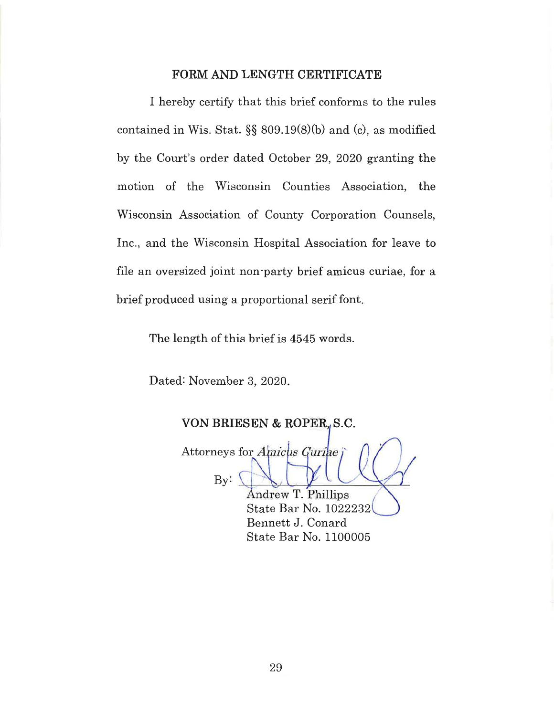#### FORM AND LENGTH CERTIFICATE FORM AND LENGTH CERTIFICATE

I hereby certify that this brief conforms to the rules I hereby certify that this brief conforms to the rules contained in Wis. Stat. §§ 809.19(8)(b) and (c), as modified contained in Wis. Stat. SS 809.19(8)(b) and (c), as modified by the Court's order dated October 29, 2020 granting the by the Court's order dated October 29, 2020 granting the motion of the Wisconsin Counties Association, the motion of the Wisconsin Counties Association, the Wisconsin Association of County Corporation Counsels, Wisconsin Association of County Corporation Counsels, Inc., and the Wisconsin Hospital Association for leave to file an oversized joint non-party brief amicus curiae, for a fiIe an oversized joint non-party brief amicus curiae, for <sup>a</sup> brief produced using a proportional serif font. brief produced using a proportional serif font

The length of this brief is 4545 words. The length of this brief is 4545 words.

Dated: November 3, 2020. Dated: November 3, 2020

VON BRIESEN & ROPER, S.C. Attorneys for Amicus Guri By:  $\bigcup \bigcup \bigcup \bigcup \bigcup$ Andrew T. Phillips State Bar No. 1022232 State Bar No. 1022232

Bennett J. Conard Bennett J. Conard State Bar No. 1100005 State Bar No. 1100005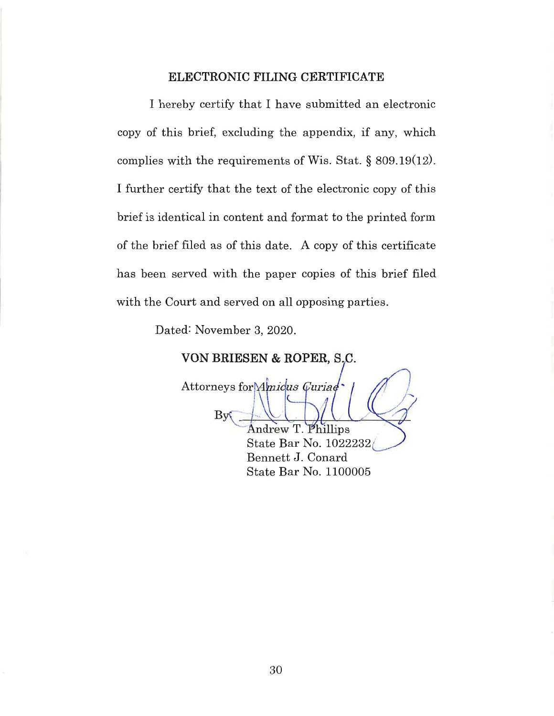#### ELECTRONIC FILING CERTIFICATE ELECTRONIC FILING CERTIFICATE

I hereby certify that I have submitted an electronic I hereby certify that I have submitted an electronic copy of this brief, excluding the appendix, if any, which copy of this brief, excluding the appendix, if any, which complies with the requirements of Wis. Stat. § 809.19(12). I further certify that the text of the electronic copy of this I further certify that the text of the electronic copy of this brief is identical in content and format to the printed form brief is identical in content and format to the printed form of the brief filed as of this date. A copy of this certificate of the brief filed as of this date. A copy of this certificate has been served with the paper copies of this brief filed has been served with the paper copies of this brief fiIed with the Court and served on all opposing parties. with the Court and served on all opposing parties

Dated: November 3, 2020. Dated: November 3, 2020.

VON BRIESEN & ROPER, S.C. VON BRIESEN & ROPER, Attorneys for *Amicus Guria* 1 By<sub>s</sub> Andrew T. Phillips State Bar No. 1022232 Bennett J. Conard Bennett J. Conard State Bar No. 1100005 State Bar No. 1100005